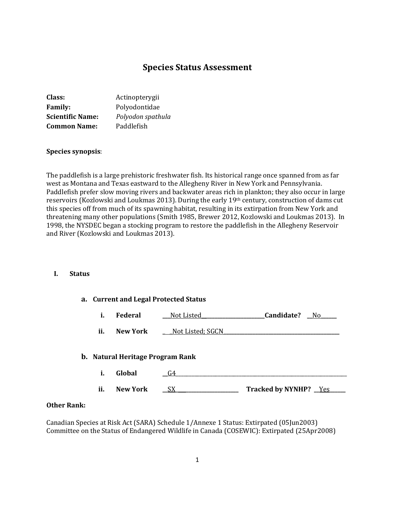# **Species Status Assessment**

| Class:                  | Actinopterygii    |  |
|-------------------------|-------------------|--|
| <b>Family:</b>          | Polyodontidae     |  |
| <b>Scientific Name:</b> | Polyodon spathula |  |
| <b>Common Name:</b>     | Paddlefish        |  |

#### **Species synopsis**:

The paddlefish is a large prehistoric freshwater fish. Its historical range once spanned from as far west as Montana and Texas eastward to the Allegheny River in New York and Pennsylvania. Paddlefish prefer slow moving rivers and backwater areas rich in plankton; they also occur in large reservoirs (Kozlowski and Loukmas 2013). During the early 19th century, construction of dams cut this species off from much of its spawning habitat, resulting in its extirpation from New York and threatening many other populations (Smith 1985, Brewer 2012, Kozlowski and Loukmas 2013). In 1998, the NYSDEC began a stocking program to restore the paddlefish in the Allegheny Reservoir and River (Kozlowski and Loukmas 2013).

## **I. Status**

| a. Current and Legal Protected Status |                 |                  |                        |
|---------------------------------------|-----------------|------------------|------------------------|
| i.                                    | <b>Federal</b>  | Not Listed_      | Candidate?<br>No.      |
| ii.                                   | <b>New York</b> | Not Listed; SGCN |                        |
| b. Natural Heritage Program Rank      |                 |                  |                        |
| i.                                    | Global          | G4               |                        |
| ii.                                   | <b>New York</b> | SX               | Tracked by NYNHP? _Yes |

#### **Other Rank:**

Canadian Species at Risk Act (SARA) Schedule 1/Annexe 1 Status: Extirpated (05Jun2003) Committee on the Status of Endangered Wildlife in Canada (COSEWIC): Extirpated (25Apr2008)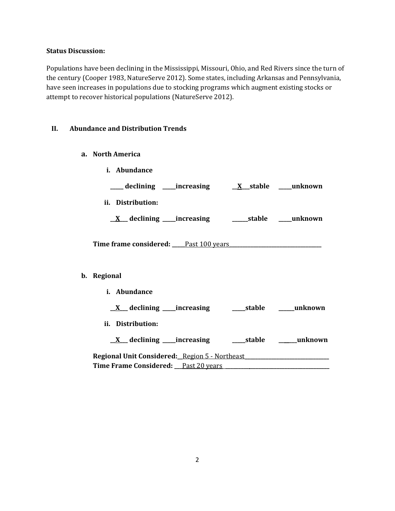### **Status Discussion:**

Populations have been declining in the Mississippi, Missouri, Ohio, and Red Rivers since the turn of the century (Cooper 1983, NatureServe 2012). Some states, including Arkansas and Pennsylvania, have seen increases in populations due to stocking programs which augment existing stocks or attempt to recover historical populations (NatureServe 2012).

## **II. Abundance and Distribution Trends**

- **a. North America**
- **i. Abundance \_\_\_\_\_ declining \_\_\_\_\_increasing \_\_X\_\_\_stable \_\_\_\_\_unknown ii. Distribution: \_\_X\_\_\_ declining \_\_\_\_\_increasing \_\_\_\_\_\_stable \_\_\_\_\_unknown Time frame considered: \_\_\_\_\_**Past 100 years**\_\_\_\_\_\_\_\_\_\_\_\_\_\_\_\_\_\_\_\_\_\_\_\_\_\_\_\_\_\_\_\_\_\_\_ b. Regional i. Abundance \_\_X\_\_\_ declining \_\_\_\_\_increasing \_\_\_\_\_stable \_\_\_\_\_\_unknown ii. Distribution: \_\_X\_\_\_ declining \_\_\_\_\_increasing \_\_\_\_\_stable \_\_\_\_\_\_\_unknown Regional Unit Considered:\_\_**Region 5 - Northeast**\_\_\_\_\_\_\_\_\_\_\_\_\_\_\_\_\_\_\_\_\_\_\_\_\_\_\_\_\_\_\_\_**

| Regional Unit Constant Ca. Region 5 Trollingst |  |
|------------------------------------------------|--|
| Time Frame Considered: Past 20 years           |  |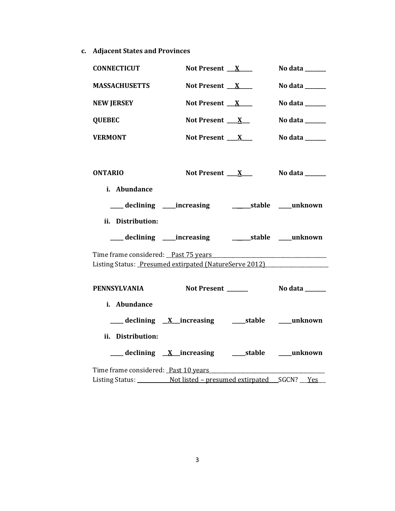**c. Adjacent States and Provinces**

| <b>CONNECTICUT</b>                   | Not Present $X$                                              | No data $\_\_\_\_\_\_\_\_\_\_\_\_\_\_\_\_$ |  |
|--------------------------------------|--------------------------------------------------------------|--------------------------------------------|--|
| <b>MASSACHUSETTS</b>                 | Not Present $X$                                              | No data $\_\_\_\_\_\_\_\_\_\_\_\$          |  |
| <b>NEW JERSEY</b>                    | Not Present $X$                                              | No data ______                             |  |
| <b>QUEBEC</b>                        | Not Present $X_{-}$                                          | No data $\_\_\_\_\_\_\_\_\_\_\_\$          |  |
| <b>VERMONT</b>                       | Not Present $X_{-}$                                          | No data $\_\_\_\_\_\_\_\_\_\_\_\$          |  |
|                                      |                                                              |                                            |  |
| <b>ONTARIO</b>                       | Not Present $X_{-}$                                          | No data _______                            |  |
| i. Abundance                         |                                                              |                                            |  |
|                                      | ___ declining ____increasing _____________stable ____unknown |                                            |  |
| ii. Distribution:                    |                                                              |                                            |  |
|                                      |                                                              |                                            |  |
| Time frame considered: Past 75 years |                                                              |                                            |  |
|                                      | Listing Status: Presumed extirpated (NatureServe 2012)       |                                            |  |
| <b>PENNSYLVANIA</b>                  | Not Present ______                                           | No data _______                            |  |
| i. Abundance                         |                                                              |                                            |  |
|                                      | ___ declining X_increasing _____stable ____unknown           |                                            |  |
| ii. Distribution:                    |                                                              |                                            |  |
|                                      |                                                              |                                            |  |
| Time frame considered: Past 10 years |                                                              |                                            |  |
|                                      |                                                              |                                            |  |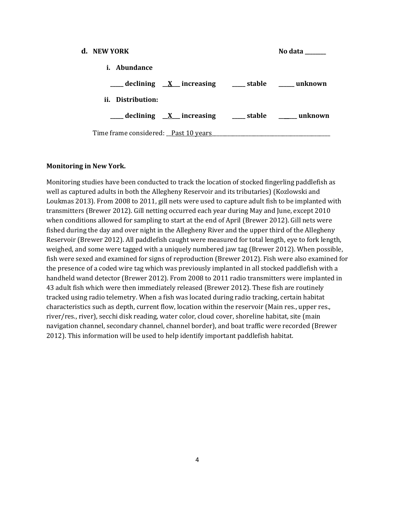| d. NEW YORK                                                  | No data |
|--------------------------------------------------------------|---------|
| <i>i.</i> Abundance                                          |         |
| declining X increasing _______ stable ________ unknown       |         |
| ii. Distribution:                                            |         |
| ____ declining <u>X</u> increasing ____ stable _____ unknown |         |
| Time frame considered: Past 10 years                         |         |

#### **Monitoring in New York.**

Monitoring studies have been conducted to track the location of stocked fingerling paddlefish as well as captured adults in both the Allegheny Reservoir and its tributaries) (Kozlowski and Loukmas 2013). From 2008 to 2011, gill nets were used to capture adult fish to be implanted with transmitters (Brewer 2012). Gill netting occurred each year during May and June, except 2010 when conditions allowed for sampling to start at the end of April (Brewer 2012). Gill nets were fished during the day and over night in the Allegheny River and the upper third of the Allegheny Reservoir (Brewer 2012). All paddlefish caught were measured for total length, eye to fork length, weighed, and some were tagged with a uniquely numbered jaw tag (Brewer 2012). When possible, fish were sexed and examined for signs of reproduction (Brewer 2012). Fish were also examined for the presence of a coded wire tag which was previously implanted in all stocked paddlefish with a handheld wand detector (Brewer 2012). From 2008 to 2011 radio transmitters were implanted in 43 adult fish which were then immediately released (Brewer 2012). These fish are routinely tracked using radio telemetry. When a fish was located during radio tracking, certain habitat characteristics such as depth, current flow, location within the reservoir (Main res., upper res., river/res., river), secchi disk reading, water color, cloud cover, shoreline habitat, site (main navigation channel, secondary channel, channel border), and boat traffic were recorded (Brewer 2012). This information will be used to help identify important paddlefish habitat.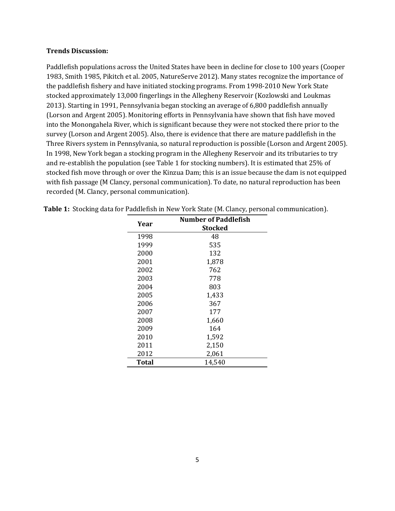#### **Trends Discussion:**

Paddlefish populations across the United States have been in decline for close to 100 years (Cooper 1983, Smith 1985, Pikitch et al. 2005, NatureServe 2012). Many states recognize the importance of the paddlefish fishery and have initiated stocking programs. From 1998-2010 New York State stocked approximately 13,000 fingerlings in the Allegheny Reservoir (Kozlowski and Loukmas 2013). Starting in 1991, Pennsylvania began stocking an average of 6,800 paddlefish annually (Lorson and Argent 2005). Monitoring efforts in Pennsylvania have shown that fish have moved into the Monongahela River, which is significant because they were not stocked there prior to the survey (Lorson and Argent 2005). Also, there is evidence that there are mature paddlefish in the Three Rivers system in Pennsylvania, so natural reproduction is possible (Lorson and Argent 2005). In 1998, New York began a stocking program in the Allegheny Reservoir and its tributaries to try and re-establish the population (see Table 1 for stocking numbers). It is estimated that 25% of stocked fish move through or over the Kinzua Dam; this is an issue because the dam is not equipped with fish passage (M Clancy, personal communication). To date, no natural reproduction has been recorded (M. Clancy, personal communication).

| Year  | <b>Number of Paddlefish</b><br>Stocked |
|-------|----------------------------------------|
| 1998  | 48                                     |
| 1999  | 535                                    |
| 2000  | 132                                    |
| 2001  | 1,878                                  |
| 2002  | 762                                    |
| 2003  | 778                                    |
| 2004  | 803                                    |
| 2005  | 1,433                                  |
| 2006  | 367                                    |
| 2007  | 177                                    |
| 2008  | 1,660                                  |
| 2009  | 164                                    |
| 2010  | 1,592                                  |
| 2011  | 2,150                                  |
| 2012  | 2,061                                  |
| Total | 14,540                                 |

|  |  |  | Table 1: Stocking data for Paddlefish in New York State (M. Clancy, personal communication). |
|--|--|--|----------------------------------------------------------------------------------------------|
|--|--|--|----------------------------------------------------------------------------------------------|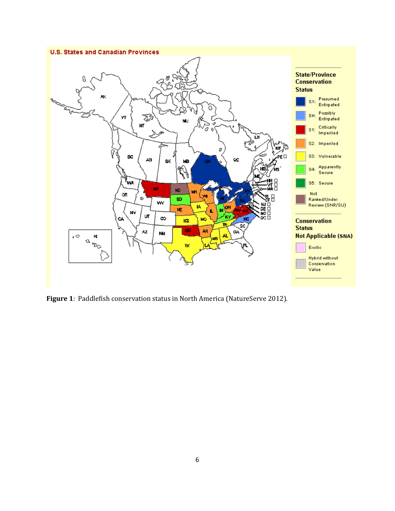

**Figure 1**: Paddlefish conservation status in North America (NatureServe 2012).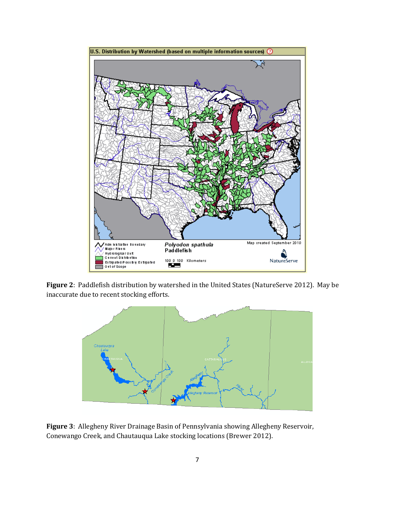

**Figure 2**: Paddlefish distribution by watershed in the United States (NatureServe 2012). May be inaccurate due to recent stocking efforts.



**Figure 3**: Allegheny River Drainage Basin of Pennsylvania showing Allegheny Reservoir, Conewango Creek, and Chautauqua Lake stocking locations (Brewer 2012).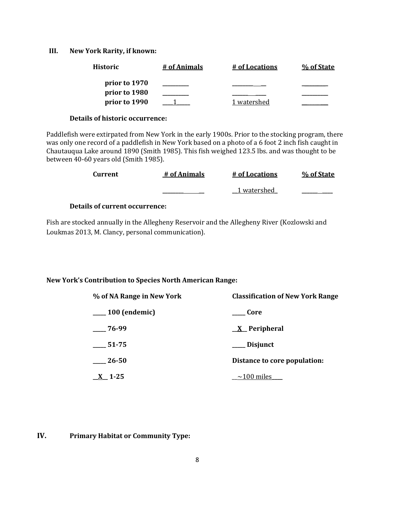### **III. New York Rarity, if known:**

| <b>Historic</b> | # of Animals | <u># of Locations</u> | % of State |
|-----------------|--------------|-----------------------|------------|
| prior to 1970   |              |                       |            |
| prior to 1980   |              |                       |            |
| prior to 1990   |              | 1 watershed           |            |

### **Details of historic occurrence:**

Paddlefish were extirpated from New York in the early 1900s. Prior to the stocking program, there was only one record of a paddlefish in New York based on a photo of a 6 foot 2 inch fish caught in Chautauqua Lake around 1890 (Smith 1985). This fish weighed 123.5 lbs. and was thought to be between 40-60 years old (Smith 1985).

| Current | # of Animals | # of Locations | % of State |
|---------|--------------|----------------|------------|
|         |              | 1 watershed    |            |

## **Details of current occurrence:**

Fish are stocked annually in the Allegheny Reservoir and the Allegheny River (Kozlowski and Loukmas 2013, M. Clancy, personal communication).

## **New York's Contribution to Species North American Range:**

| % of NA Range in New York     | <b>Classification of New York Range</b> |
|-------------------------------|-----------------------------------------|
| $\frac{100}{2}$ (endemic)     | – Core                                  |
| $-76-99$                      | <u>X</u> Peripheral                     |
| 51-75                         | $\equiv$ Disjunct                       |
| 26-50                         | Distance to core population:            |
| $\underline{\mathbf{X}}$ 1-25 | $\sim$ 100 miles                        |

## **IV. Primary Habitat or Community Type:**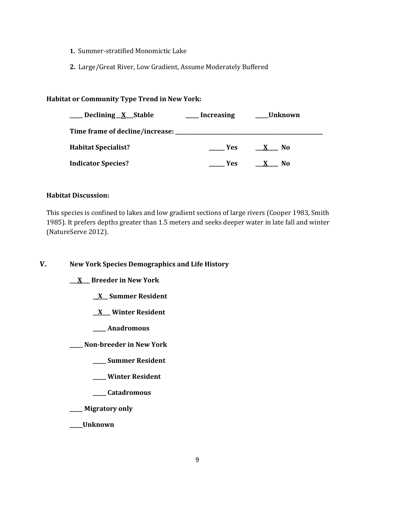- **1.** Summer-stratified Monomictic Lake
- **2.** Large/Great River, Low Gradient, Assume Moderately Buffered

## **Habitat or Community Type Trend in New York:**

| Declining X Stable                      | <b>Increasing</b> | Unknown             |
|-----------------------------------------|-------------------|---------------------|
| Time frame of decline/increase: _______ |                   |                     |
| <b>Habitat Specialist?</b>              | Yes:              | No.<br>$\mathbf{x}$ |
| <b>Indicator Species?</b>               | Yes               | N <sub>0</sub>      |

## **Habitat Discussion:**

This species is confined to lakes and low gradient sections of large rivers (Cooper 1983, Smith 1985). It prefers depths greater than 1.5 meters and seeks deeper water in late fall and winter (NatureServe 2012).

**V. New York Species Demographics and Life History**

**\_\_\_X\_\_\_ Breeder in New York**

- **\_\_X\_\_ Summer Resident**
- **\_\_X\_\_\_ Winter Resident**
- **\_\_\_\_\_ Anadromous**

**\_\_\_\_\_ Non-breeder in New York**

- **\_\_\_\_\_ Summer Resident**
- **\_\_\_\_\_ Winter Resident**
- **\_\_\_\_\_ Catadromous**
- **\_\_\_\_\_ Migratory only**

**\_\_\_\_\_Unknown**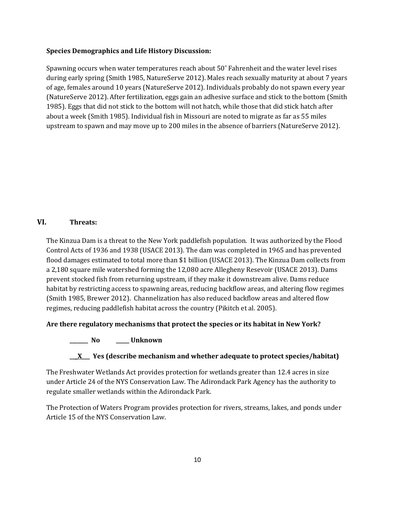### **Species Demographics and Life History Discussion:**

Spawning occurs when water temperatures reach about 50˚ Fahrenheit and the water level rises during early spring (Smith 1985, NatureServe 2012). Males reach sexually maturity at about 7 years of age, females around 10 years (NatureServe 2012). Individuals probably do not spawn every year (NatureServe 2012). After fertilization, eggs gain an adhesive surface and stick to the bottom (Smith 1985). Eggs that did not stick to the bottom will not hatch, while those that did stick hatch after about a week (Smith 1985). Individual fish in Missouri are noted to migrate as far as 55 miles upstream to spawn and may move up to 200 miles in the absence of barriers (NatureServe 2012).

## **VI. Threats:**

The Kinzua Dam is a threat to the New York paddlefish population. It was authorized by the Flood Control Acts of 1936 and 1938 (USACE 2013). The dam was completed in 1965 and has prevented flood damages estimated to total more than \$1 billion (USACE 2013). The Kinzua Dam collects from a 2,180 square mile watershed forming the 12,080 acre Allegheny Resevoir (USACE 2013). Dams prevent stocked fish from returning upstream, if they make it downstream alive. Dams reduce habitat by restricting access to spawning areas, reducing backflow areas, and altering flow regimes (Smith 1985, Brewer 2012). Channelization has also reduced backflow areas and altered flow regimes, reducing paddlefish habitat across the country (Pikitch et al. 2005).

**Are there regulatory mechanisms that protect the species or its habitat in New York?**

## **\_\_\_\_\_\_\_ No \_\_\_\_\_ Unknown**

## **\_\_\_X\_\_\_ Yes (describe mechanism and whether adequate to protect species/habitat)**

The Freshwater Wetlands Act provides protection for wetlands greater than 12.4 acres in size under Article 24 of the NYS Conservation Law. The Adirondack Park Agency has the authority to regulate smaller wetlands within the Adirondack Park.

The Protection of Waters Program provides protection for rivers, streams, lakes, and ponds under Article 15 of the NYS Conservation Law.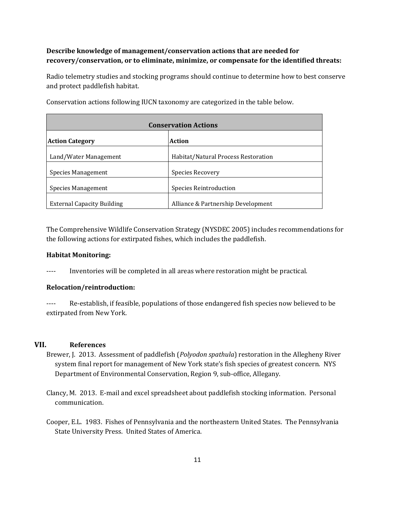## **Describe knowledge of management/conservation actions that are needed for recovery/conservation, or to eliminate, minimize, or compensate for the identified threats:**

Radio telemetry studies and stocking programs should continue to determine how to best conserve and protect paddlefish habitat.

| <b>Conservation Actions</b>       |                                     |  |
|-----------------------------------|-------------------------------------|--|
| <b>Action Category</b>            | <b>Action</b>                       |  |
| Land/Water Management             | Habitat/Natural Process Restoration |  |
| <b>Species Management</b>         | Species Recovery                    |  |
| Species Management                | Species Reintroduction              |  |
| <b>External Capacity Building</b> | Alliance & Partnership Development  |  |

Conservation actions following IUCN taxonomy are categorized in the table below.

The Comprehensive Wildlife Conservation Strategy (NYSDEC 2005) includes recommendations for the following actions for extirpated fishes, which includes the paddlefish.

## **Habitat Monitoring:**

---- Inventories will be completed in all areas where restoration might be practical.

## **Relocation/reintroduction:**

---- Re-establish, if feasible, populations of those endangered fish species now believed to be extirpated from New York.

## **VII. References**

- Brewer, J. 2013. Assessment of paddlefish (*Polyodon spathula*) restoration in the Allegheny River system final report for management of New York state's fish species of greatest concern. NYS Department of Environmental Conservation, Region 9, sub-office, Allegany.
- Clancy, M. 2013. E-mail and excel spreadsheet about paddlefish stocking information. Personal communication.
- Cooper, E.L. 1983. Fishes of Pennsylvania and the northeastern United States. The Pennsylvania State University Press. United States of America.